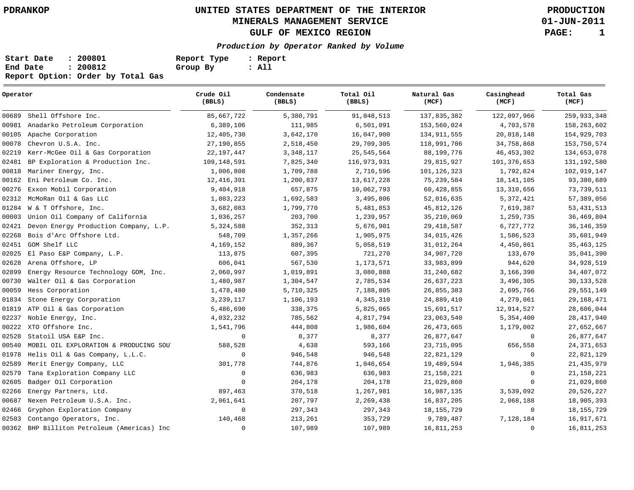**01-JUN-2011**

| Start Date | : 200801                          | Report Type | : Report |
|------------|-----------------------------------|-------------|----------|
| End Date   | : 200812                          | Group By    | : All    |
|            | Report Option: Order by Total Gas |             |          |

| Operator |                                        | Crude Oil<br>(BBLS) | Condensate<br>(BBLS) | Total Oil<br>(BBLS) | Natural Gas<br>(MCF) | Casinghead<br>(MCF) | Total Gas<br>(MCF) |
|----------|----------------------------------------|---------------------|----------------------|---------------------|----------------------|---------------------|--------------------|
| 00689    | Shell Offshore Inc.                    | 85,667,722          | 5,380,791            | 91,048,513          | 137,835,382          | 122,097,966         | 259,933,348        |
| 00981    | Anadarko Petroleum Corporation         | 6,389,106           | 111,985              | 6,501,091           | 153,560,024          | 4,703,578           | 158,263,602        |
| 00105    | Apache Corporation                     | 12,405,730          | 3,642,170            | 16,047,900          | 134, 911, 555        | 20,018,148          | 154,929,703        |
| 00078    | Chevron U.S.A. Inc.                    | 27,190,855          | 2,518,450            | 29,709,305          | 118,991,706          | 34,758,868          | 153,750,574        |
| 02219    | Kerr-McGee Oil & Gas Corporation       | 22, 197, 447        | 3,348,117            | 25,545,564          | 88,199,776           | 46, 453, 302        | 134,653,078        |
| 02481    | BP Exploration & Production Inc.       | 109,148,591         | 7,825,340            | 116,973,931         | 29,815,927           | 101,376,653         | 131, 192, 580      |
| 00818    | Mariner Energy, Inc.                   | 1,006,808           | 1,709,788            | 2,716,596           | 101, 126, 323        | 1,792,824           | 102,919,147        |
| 00162    | Eni Petroleum Co. Inc.                 | 12, 416, 391        | 1,200,837            | 13,617,228          | 75, 239, 584         | 18, 141, 105        | 93,380,689         |
| 00276    | Exxon Mobil Corporation                | 9,404,918           | 657,875              | 10,062,793          | 60,428,855           | 13,310,656          | 73,739,511         |
| 02312    | McMoRan Oil & Gas LLC                  | 1,803,223           | 1,692,583            | 3,495,806           | 52,016,635           | 5,372,421           | 57,389,056         |
| 01284    | W & T Offshore, Inc.                   | 3,682,083           | 1,799,770            | 5,481,853           | 45,812,126           | 7,619,387           | 53, 431, 513       |
| 00003    | Union Oil Company of California        | 1,036,257           | 203,700              | 1,239,957           | 35, 210, 069         | 1,259,735           | 36,469,804         |
| 02421    | Devon Energy Production Company, L.P.  | 5,324,588           | 352,313              | 5,676,901           | 29, 418, 587         | 6,727,772           | 36, 146, 359       |
| 02268    | Bois d'Arc Offshore Ltd.               | 548,709             | 1,357,266            | 1,905,975           | 34,015,426           | 1,586,523           | 35,601,949         |
| 02451    | GOM Shelf LLC                          | 4,169,152           | 889,367              | 5,058,519           | 31,012,264           | 4,450,861           | 35, 463, 125       |
| 02025    | El Paso E&P Company, L.P.              | 113,875             | 607,395              | 721,270             | 34,907,720           | 133,670             | 35,041,390         |
| 02628    | Arena Offshore, LP                     | 606,041             | 567,530              | 1,173,571           | 33,983,899           | 944,620             | 34,928,519         |
| 02899    | Energy Resource Technology GOM, Inc.   | 2,060,997           | 1,019,891            | 3,080,888           | 31,240,682           | 3,166,390           | 34,407,072         |
| 00730    | Walter Oil & Gas Corporation           | 1,480,987           | 1,304,547            | 2,785,534           | 26,637,223           | 3,496,305           | 30,133,528         |
| 00059    | Hess Corporation                       | 1,478,480           | 5,710,325            | 7,188,805           | 26,855,383           | 2,695,766           | 29,551,149         |
| 01834    | Stone Energy Corporation               | 3,239,117           | 1,106,193            | 4,345,310           | 24,889,410           | 4,279,061           | 29, 168, 471       |
| 01819    | ATP Oil & Gas Corporation              | 5,486,690           | 338,375              | 5,825,065           | 15,691,517           | 12,914,527          | 28,606,044         |
| 02237    | Noble Energy, Inc.                     | 4,032,232           | 785,562              | 4,817,794           | 23,063,540           | 5,354,400           | 28, 417, 940       |
| 00222    | XTO Offshore Inc.                      | 1,541,796           | 444,808              | 1,986,604           | 26, 473, 665         | 1,179,002           | 27,652,667         |
| 02528    | Statoil USA E&P Inc.                   | $\mathbf 0$         | 8,377                | 8,377               | 26,877,647           | 0                   | 26,877,647         |
| 00540    | MOBIL OIL EXPLORATION & PRODUCING SOUT | 588,528             | 4,638                | 593,166             | 23,715,095           | 656,558             | 24, 371, 653       |
| 01978    | Helis Oil & Gas Company, L.L.C.        | $\mathbf 0$         | 946,548              | 946,548             | 22,821,129           | 0                   | 22,821,129         |
| 02589    | Merit Energy Company, LLC              | 301,778             | 744,876              | 1,046,654           | 19,489,594           | 1,946,385           | 21, 435, 979       |
| 02579    | Tana Exploration Company LLC           | $\mathbf 0$         | 636,983              | 636,983             | 21, 158, 221         | 0                   | 21, 158, 221       |
| 02605    | Badger Oil Corporation                 | $\Omega$            | 204,178              | 204,178             | 21,029,860           | $\mathbf 0$         | 21,029,860         |
| 02266    | Energy Partners, Ltd.                  | 897,463             | 370,518              | 1,267,981           | 16,987,135           | 3,539,092           | 20,526,227         |
| 00687    | Nexen Petroleum U.S.A. Inc.            | 2,061,641           | 207,797              | 2,269,438           | 16,837,205           | 2,068,188           | 18,905,393         |
| 02466    | Gryphon Exploration Company            | $\mathbf 0$         | 297,343              | 297,343             | 18, 155, 729         | 0                   | 18, 155, 729       |
| 02503    | Contango Operators, Inc.               | 140,468             | 213,261              | 353,729             | 9,789,487            | 7,128,184           | 16, 917, 671       |
| 00362    | BHP Billiton Petroleum (Americas) Inc  | $\Omega$            | 107,989              | 107,989             | 16,811,253           | $\mathbf 0$         | 16,811,253         |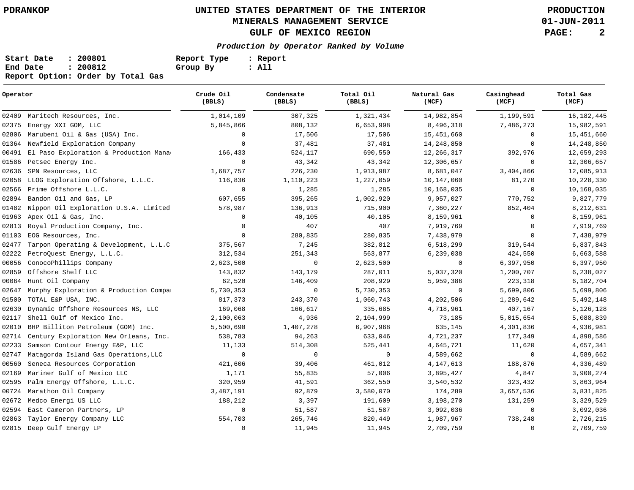**01-JUN-2011**

| Start Date | : 200801                          | Report Type | : Report |
|------------|-----------------------------------|-------------|----------|
| End Date   | : 200812                          | Group By    | : All    |
|            | Report Option: Order by Total Gas |             |          |

| Operator |                                        | Crude Oil<br>(BBLS) | Condensate<br>(BBLS) | Total Oil<br>(BBLS) | Natural Gas<br>(MCF) | Casinghead<br>(MCF) | Total Gas<br>(MCF) |
|----------|----------------------------------------|---------------------|----------------------|---------------------|----------------------|---------------------|--------------------|
| 02409    | Maritech Resources, Inc.               | 1,014,109           | 307,325              | 1,321,434           | 14,982,854           | 1,199,591           | 16, 182, 445       |
| 02375    | Energy XXI GOM, LLC                    | 5,845,866           | 808,132              | 6,653,998           | 8,496,318            | 7,486,273           | 15,982,591         |
| 02806    | Marubeni Oil & Gas (USA) Inc.          | $\Omega$            | 17,506               | 17,506              | 15,451,660           | $\circ$             | 15,451,660         |
|          | 01364 Newfield Exploration Company     | $\Omega$            | 37,481               | 37,481              | 14,248,850           | 0                   | 14,248,850         |
| 00491    | El Paso Exploration & Production Mana  | 166,433             | 524,117              | 690,550             | 12,266,317           | 392,976             | 12,659,293         |
| 01586    | Petsec Energy Inc.                     | $\Omega$            | 43,342               | 43,342              | 12,306,657           | $\mathbf 0$         | 12,306,657         |
| 02636    | SPN Resources, LLC                     | 1,687,757           | 226,230              | 1,913,987           | 8,681,047            | 3,404,866           | 12,085,913         |
| 02058    | LLOG Exploration Offshore, L.L.C.      | 116,836             | 1,110,223            | 1,227,059           | 10,147,060           | 81,270              | 10,228,330         |
| 02566    | Prime Offshore L.L.C.                  | $\mathbf 0$         | 1,285                | 1,285               | 10,168,035           | 0                   | 10,168,035         |
| 02894    | Bandon Oil and Gas, LP                 | 607,655             | 395,265              | 1,002,920           | 9,057,027            | 770,752             | 9,827,779          |
| 01482    | Nippon Oil Exploration U.S.A. Limited  | 578,987             | 136,913              | 715,900             | 7,360,227            | 852,404             | 8,212,631          |
| 01963    | Apex Oil & Gas, Inc.                   | $\mathbf 0$         | 40,105               | 40,105              | 8,159,961            | 0                   | 8,159,961          |
| 02813    | Royal Production Company, Inc.         | $\Omega$            | 407                  | 407                 | 7,919,769            | $\mathbf 0$         | 7,919,769          |
| 01103    | EOG Resources, Inc.                    | $\Omega$            | 280,835              | 280,835             | 7,438,979            | $\mathbf 0$         | 7,438,979          |
| 02477    | Tarpon Operating & Development, L.L.C  | 375,567             | 7,245                | 382,812             | 6,518,299            | 319,544             | 6,837,843          |
| 02222    | PetroQuest Energy, L.L.C.              | 312,534             | 251,343              | 563,877             | 6,239,038            | 424,550             | 6,663,588          |
| 00056    | ConocoPhillips Company                 | 2,623,500           | $\mathbf 0$          | 2,623,500           | $\mathbf 0$          | 6,397,950           | 6,397,950          |
| 02859    | Offshore Shelf LLC                     | 143,832             | 143,179              | 287,011             | 5,037,320            | 1,200,707           | 6,238,027          |
| 00064    | Hunt Oil Company                       | 62,520              | 146,409              | 208,929             | 5,959,386            | 223,318             | 6,182,704          |
| 02647    | Murphy Exploration & Production Compa: | 5,730,353           | $\mathbf 0$          | 5,730,353           | $\mathbf 0$          | 5,699,806           | 5,699,806          |
| 01500    | TOTAL E&P USA, INC.                    | 817,373             | 243,370              | 1,060,743           | 4,202,506            | 1,289,642           | 5,492,148          |
| 02630    | Dynamic Offshore Resources NS, LLC     | 169,068             | 166,617              | 335,685             | 4,718,961            | 407,167             | 5,126,128          |
| 02117    | Shell Gulf of Mexico Inc.              | 2,100,063           | 4,936                | 2,104,999           | 73,185               | 5,015,654           | 5,088,839          |
| 02010    | BHP Billiton Petroleum (GOM) Inc.      | 5,500,690           | 1,407,278            | 6,907,968           | 635,145              | 4,301,836           | 4,936,981          |
| 02714    | Century Exploration New Orleans, Inc.  | 538,783             | 94,263               | 633,046             | 4,721,237            | 177,349             | 4,898,586          |
| 02233    | Samson Contour Energy E&P, LLC         | 11,133              | 514,308              | 525,441             | 4,645,721            | 11,620              | 4,657,341          |
| 02747    | Matagorda Island Gas Operations, LLC   | $\mathbf 0$         | 0                    | $\mathbf 0$         | 4,589,662            | 0                   | 4,589,662          |
| 00560    | Seneca Resources Corporation           | 421,606             | 39,406               | 461,012             | 4, 147, 613          | 188,876             | 4,336,489          |
| 02169    | Mariner Gulf of Mexico LLC             | 1,171               | 55,835               | 57,006              | 3,895,427            | 4,847               | 3,900,274          |
| 02595    | Palm Energy Offshore, L.L.C.           | 320,959             | 41,591               | 362,550             | 3,540,532            | 323,432             | 3,863,964          |
| 00724    | Marathon Oil Company                   | 3,487,191           | 92,879               | 3,580,070           | 174,289              | 3,657,536           | 3,831,825          |
| 02672    | Medco Energi US LLC                    | 188,212             | 3,397                | 191,609             | 3,198,270            | 131,259             | 3,329,529          |
| 02594    | East Cameron Partners, LP              | 0                   | 51,587               | 51,587              | 3,092,036            | 0                   | 3,092,036          |
| 02863    | Taylor Energy Company LLC              | 554,703             | 265,746              | 820,449             | 1,987,967            | 738,248             | 2,726,215          |
| 02815    | Deep Gulf Energy LP                    | $\mathbf 0$         | 11,945               | 11,945              | 2,709,759            | 0                   | 2,709,759          |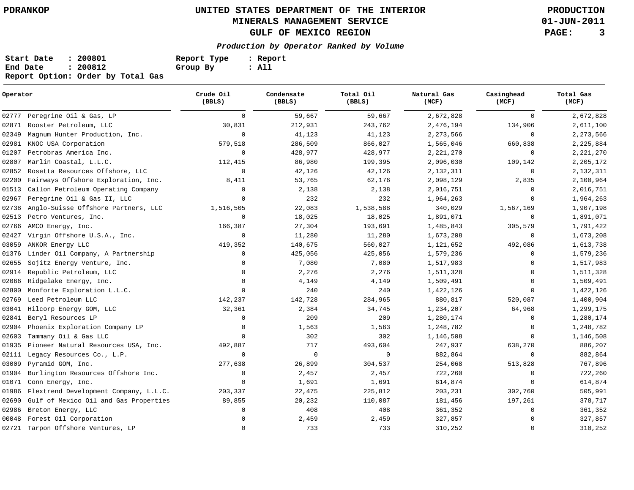**01-JUN-2011**

| Start Date | : 200801                          | Report Type | : Report |
|------------|-----------------------------------|-------------|----------|
| End Date   | : 200812                          | Group By    | : All    |
|            | Report Option: Order by Total Gas |             |          |

| Operator |                                       | Crude Oil<br>(BBLS) | Condensate<br>(BBLS) | Total Oil<br>(BBLS) | Natural Gas<br>(MCF) | Casinghead<br>(MCF) | Total Gas<br>(MCF) |
|----------|---------------------------------------|---------------------|----------------------|---------------------|----------------------|---------------------|--------------------|
| 02777    | Peregrine Oil & Gas, LP               | $\mathbf 0$         | 59,667               | 59,667              | 2,672,828            | $\mathbf 0$         | 2,672,828          |
| 02871    | Rooster Petroleum, LLC                | 30,831              | 212,931              | 243,762             | 2,476,194            | 134,906             | 2,611,100          |
| 02349    | Magnum Hunter Production, Inc.        | $\Omega$            | 41,123               | 41,123              | 2,273,566            | 0                   | 2,273,566          |
| 02981    | KNOC USA Corporation                  | 579,518             | 286,509              | 866,027             | 1,565,046            | 660,838             | 2,225,884          |
| 01207    | Petrobras America Inc.                | $\Omega$            | 428,977              | 428,977             | 2,221,270            | 0                   | 2,221,270          |
| 02807    | Marlin Coastal, L.L.C.                | 112,415             | 86,980               | 199,395             | 2,096,030            | 109,142             | 2,205,172          |
| 02852    | Rosetta Resources Offshore, LLC       | $\mathbf 0$         | 42,126               | 42,126              | 2,132,311            | $\mathbf 0$         | 2,132,311          |
| 02200    | Fairways Offshore Exploration, Inc.   | 8,411               | 53,765               | 62,176              | 2,098,129            | 2,835               | 2,100,964          |
| 01513    | Callon Petroleum Operating Company    | $\Omega$            | 2,138                | 2,138               | 2,016,751            | 0                   | 2,016,751          |
| 02967    | Peregrine Oil & Gas II, LLC           | $\Omega$            | 232                  | 232                 | 1,964,263            | 0                   | 1,964,263          |
| 02738    | Anglo-Suisse Offshore Partners, LLC   | 1,516,505           | 22,083               | 1,538,588           | 340,029              | 1,567,169           | 1,907,198          |
| 02513    | Petro Ventures, Inc.                  | $\Omega$            | 18,025               | 18,025              | 1,891,071            | $\mathbf 0$         | 1,891,071          |
| 02766    | AMCO Energy, Inc.                     | 166,387             | 27,304               | 193,691             | 1,485,843            | 305,579             | 1,791,422          |
| 02427    | Virgin Offshore U.S.A., Inc.          | $\Omega$            | 11,280               | 11,280              | 1,673,208            | 0                   | 1,673,208          |
| 03059    | ANKOR Energy LLC                      | 419,352             | 140,675              | 560,027             | 1,121,652            | 492,086             | 1,613,738          |
| 01376    | Linder Oil Company, A Partnership     | $\Omega$            | 425,056              | 425,056             | 1,579,236            | 0                   | 1,579,236          |
| 02655    | Sojitz Energy Venture, Inc.           | $\Omega$            | 7,080                | 7,080               | 1,517,983            | 0                   | 1,517,983          |
| 02914    | Republic Petroleum, LLC               | $\Omega$            | 2,276                | 2,276               | 1,511,328            | $\mathbf 0$         | 1,511,328          |
| 02066    | Ridgelake Energy, Inc.                | $\Omega$            | 4,149                | 4,149               | 1,509,491            | 0                   | 1,509,491          |
| 02800    | Monforte Exploration L.L.C.           | $\Omega$            | 240                  | 240                 | 1,422,126            | $\mathbf 0$         | 1,422,126          |
| 02769    | Leed Petroleum LLC                    | 142,237             | 142,728              | 284,965             | 880,817              | 520,087             | 1,400,904          |
| 03041    | Hilcorp Energy GOM, LLC               | 32,361              | 2,384                | 34,745              | 1,234,207            | 64,968              | 1,299,175          |
| 02841    | Beryl Resources LP                    | $\Omega$            | 209                  | 209                 | 1,280,174            | 0                   | 1,280,174          |
| 02904    | Phoenix Exploration Company LP        | $\Omega$            | 1,563                | 1,563               | 1,248,782            | 0                   | 1,248,782          |
| 02603    | Tammany Oil & Gas LLC                 | $\Omega$            | 302                  | 302                 | 1,146,508            | 0                   | 1,146,508          |
| 01935    | Pioneer Natural Resources USA, Inc.   | 492,887             | 717                  | 493,604             | 247,937              | 638,270             | 886,207            |
| 02111    | Legacy Resources Co., L.P.            | $\mathbf 0$         | $\mathbf 0$          | $\mathbf 0$         | 882,864              | 0                   | 882,864            |
| 03009    | Pyramid GOM, Inc.                     | 277,638             | 26,899               | 304,537             | 254,068              | 513,828             | 767,896            |
| 01904    | Burlington Resources Offshore Inc.    | $\Omega$            | 2,457                | 2,457               | 722,260              | 0                   | 722,260            |
| 01071    | Conn Energy, Inc.                     | $\Omega$            | 1,691                | 1,691               | 614,874              | $\mathbf 0$         | 614,874            |
| 01986    | Flextrend Development Company, L.L.C. | 203,337             | 22,475               | 225,812             | 203,231              | 302,760             | 505,991            |
| 02690    | Gulf of Mexico Oil and Gas Properties | 89,855              | 20,232               | 110,087             | 181,456              | 197,261             | 378,717            |
| 02986    | Breton Energy, LLC                    | $\Omega$            | 408                  | 408                 | 361,352              | 0                   | 361,352            |
| 00048    | Forest Oil Corporation                |                     | 2,459                | 2,459               | 327,857              | 0                   | 327,857            |
|          | 02721 Tarpon Offshore Ventures, LP    | $\Omega$            | 733                  | 733                 | 310,252              | $\mathbf 0$         | 310,252            |